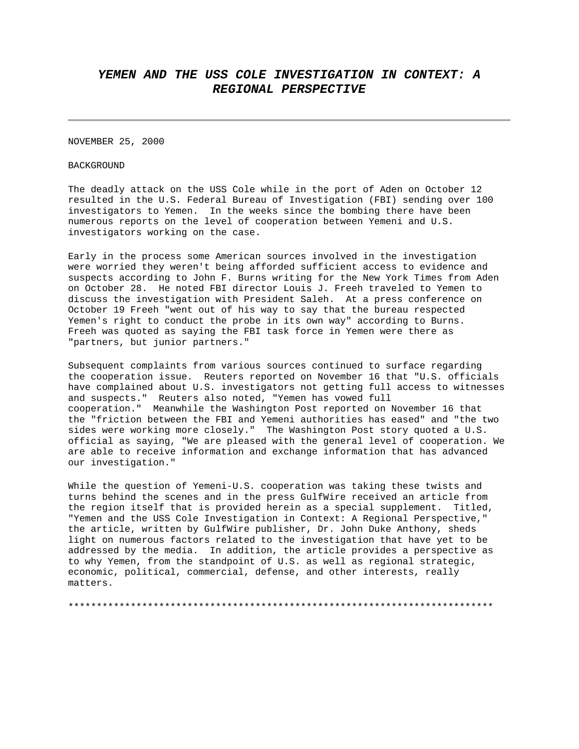## *YEMEN AND THE USS COLE INVESTIGATION IN CONTEXT: A REGIONAL PERSPECTIVE*

NOVEMBER 25, 2000

**BACKGROUND** 

The deadly attack on the USS Cole while in the port of Aden on October 12 resulted in the U.S. Federal Bureau of Investigation (FBI) sending over 100 investigators to Yemen. In the weeks since the bombing there have been numerous reports on the level of cooperation between Yemeni and U.S. investigators working on the case.

Early in the process some American sources involved in the investigation were worried they weren't being afforded sufficient access to evidence and suspects according to John F. Burns writing for the New York Times from Aden on October 28. He noted FBI director Louis J. Freeh traveled to Yemen to discuss the investigation with President Saleh. At a press conference on October 19 Freeh "went out of his way to say that the bureau respected Yemen's right to conduct the probe in its own way" according to Burns. Freeh was quoted as saying the FBI task force in Yemen were there as "partners, but junior partners."

Subsequent complaints from various sources continued to surface regarding the cooperation issue. Reuters reported on November 16 that "U.S. officials have complained about U.S. investigators not getting full access to witnesses and suspects." Reuters also noted, "Yemen has vowed full cooperation." Meanwhile the Washington Post reported on November 16 that the "friction between the FBI and Yemeni authorities has eased" and "the two sides were working more closely." The Washington Post story quoted a U.S. official as saying, "We are pleased with the general level of cooperation. We are able to receive information and exchange information that has advanced our investigation."

While the question of Yemeni-U.S. cooperation was taking these twists and turns behind the scenes and in the press GulfWire received an article from the region itself that is provided herein as a special supplement. Titled, "Yemen and the USS Cole Investigation in Context: A Regional Perspective," the article, written by GulfWire publisher, Dr. John Duke Anthony, sheds light on numerous factors related to the investigation that have yet to be addressed by the media. In addition, the article provides a perspective as to why Yemen, from the standpoint of U.S. as well as regional strategic, economic, political, commercial, defense, and other interests, really matters.

\*\*\*\*\*\*\*\*\*\*\*\*\*\*\*\*\*\*\*\*\*\*\*\*\*\*\*\*\*\*\*\*\*\*\*\*\*\*\*\*\*\*\*\*\*\*\*\*\*\*\*\*\*\*\*\*\*\*\*\*\*\*\*\*\*\*\*\*\*\*\*\*\*\*\*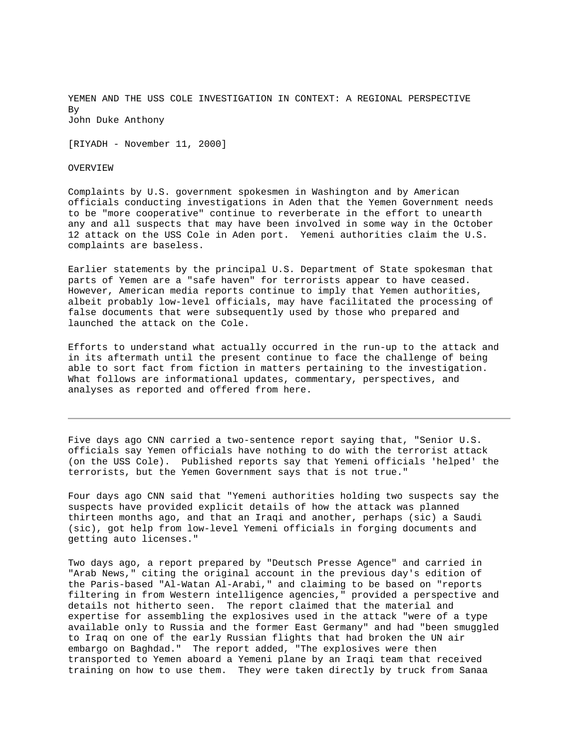YEMEN AND THE USS COLE INVESTIGATION IN CONTEXT: A REGIONAL PERSPECTIVE By John Duke Anthony

[RIYADH - November 11, 2000]

OVERVIEW

Complaints by U.S. government spokesmen in Washington and by American officials conducting investigations in Aden that the Yemen Government needs to be "more cooperative" continue to reverberate in the effort to unearth any and all suspects that may have been involved in some way in the October 12 attack on the USS Cole in Aden port. Yemeni authorities claim the U.S. complaints are baseless.

Earlier statements by the principal U.S. Department of State spokesman that parts of Yemen are a "safe haven" for terrorists appear to have ceased. However, American media reports continue to imply that Yemen authorities, albeit probably low-level officials, may have facilitated the processing of false documents that were subsequently used by those who prepared and launched the attack on the Cole.

Efforts to understand what actually occurred in the run-up to the attack and in its aftermath until the present continue to face the challenge of being able to sort fact from fiction in matters pertaining to the investigation. What follows are informational updates, commentary, perspectives, and analyses as reported and offered from here.

Five days ago CNN carried a two-sentence report saying that, "Senior U.S. officials say Yemen officials have nothing to do with the terrorist attack (on the USS Cole). Published reports say that Yemeni officials 'helped' the terrorists, but the Yemen Government says that is not true."

Four days ago CNN said that "Yemeni authorities holding two suspects say the suspects have provided explicit details of how the attack was planned thirteen months ago, and that an Iraqi and another, perhaps (sic) a Saudi (sic), got help from low-level Yemeni officials in forging documents and getting auto licenses."

Two days ago, a report prepared by "Deutsch Presse Agence" and carried in "Arab News," citing the original account in the previous day's edition of the Paris-based "Al-Watan Al-Arabi," and claiming to be based on "reports filtering in from Western intelligence agencies," provided a perspective and details not hitherto seen. The report claimed that the material and expertise for assembling the explosives used in the attack "were of a type available only to Russia and the former East Germany" and had "been smuggled to Iraq on one of the early Russian flights that had broken the UN air embargo on Baghdad." The report added, "The explosives were then transported to Yemen aboard a Yemeni plane by an Iraqi team that received training on how to use them. They were taken directly by truck from Sanaa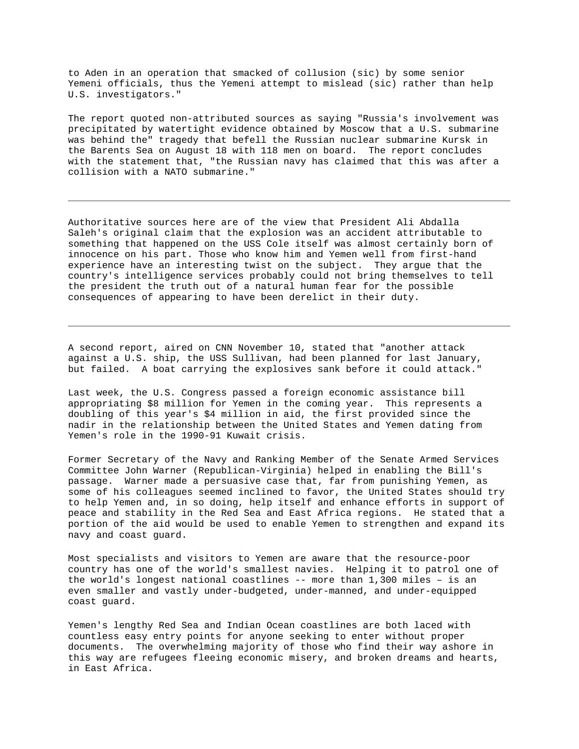to Aden in an operation that smacked of collusion (sic) by some senior Yemeni officials, thus the Yemeni attempt to mislead (sic) rather than help U.S. investigators."

The report quoted non-attributed sources as saying "Russia's involvement was precipitated by watertight evidence obtained by Moscow that a U.S. submarine was behind the" tragedy that befell the Russian nuclear submarine Kursk in the Barents Sea on August 18 with 118 men on board. The report concludes with the statement that, "the Russian navy has claimed that this was after a collision with a NATO submarine."

Authoritative sources here are of the view that President Ali Abdalla Saleh's original claim that the explosion was an accident attributable to something that happened on the USS Cole itself was almost certainly born of innocence on his part. Those who know him and Yemen well from first-hand experience have an interesting twist on the subject. They argue that the country's intelligence services probably could not bring themselves to tell the president the truth out of a natural human fear for the possible consequences of appearing to have been derelict in their duty.

A second report, aired on CNN November 10, stated that "another attack against a U.S. ship, the USS Sullivan, had been planned for last January, but failed. A boat carrying the explosives sank before it could attack."

Last week, the U.S. Congress passed a foreign economic assistance bill appropriating \$8 million for Yemen in the coming year. This represents a doubling of this year's \$4 million in aid, the first provided since the nadir in the relationship between the United States and Yemen dating from Yemen's role in the 1990-91 Kuwait crisis.

Former Secretary of the Navy and Ranking Member of the Senate Armed Services Committee John Warner (Republican-Virginia) helped in enabling the Bill's passage. Warner made a persuasive case that, far from punishing Yemen, as some of his colleagues seemed inclined to favor, the United States should try to help Yemen and, in so doing, help itself and enhance efforts in support of peace and stability in the Red Sea and East Africa regions. He stated that a portion of the aid would be used to enable Yemen to strengthen and expand its navy and coast guard.

Most specialists and visitors to Yemen are aware that the resource-poor country has one of the world's smallest navies. Helping it to patrol one of the world's longest national coastlines -- more than 1,300 miles – is an even smaller and vastly under-budgeted, under-manned, and under-equipped coast guard.

Yemen's lengthy Red Sea and Indian Ocean coastlines are both laced with countless easy entry points for anyone seeking to enter without proper documents. The overwhelming majority of those who find their way ashore in this way are refugees fleeing economic misery, and broken dreams and hearts, in East Africa.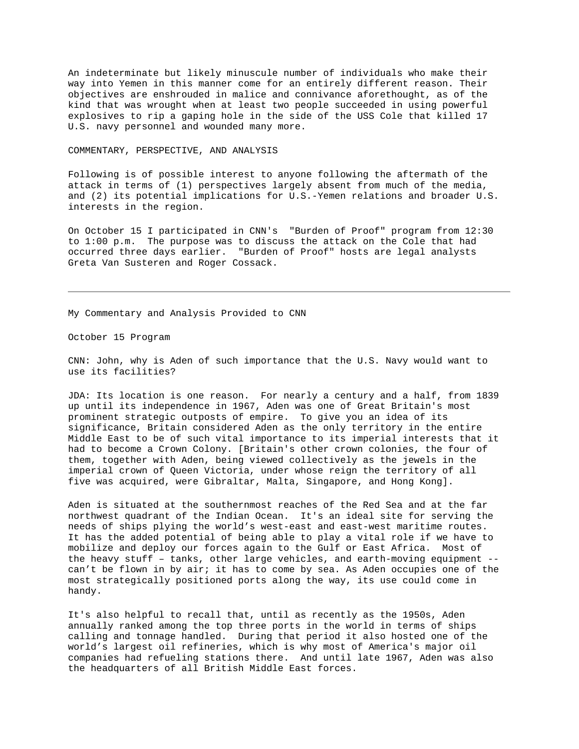An indeterminate but likely minuscule number of individuals who make their way into Yemen in this manner come for an entirely different reason. Their objectives are enshrouded in malice and connivance aforethought, as of the kind that was wrought when at least two people succeeded in using powerful explosives to rip a gaping hole in the side of the USS Cole that killed 17 U.S. navy personnel and wounded many more.

## COMMENTARY, PERSPECTIVE, AND ANALYSIS

Following is of possible interest to anyone following the aftermath of the attack in terms of (1) perspectives largely absent from much of the media, and (2) its potential implications for U.S.-Yemen relations and broader U.S. interests in the region.

On October 15 I participated in CNN's "Burden of Proof" program from 12:30 to 1:00 p.m. The purpose was to discuss the attack on the Cole that had occurred three days earlier. "Burden of Proof" hosts are legal analysts Greta Van Susteren and Roger Cossack.

My Commentary and Analysis Provided to CNN

October 15 Program

CNN: John, why is Aden of such importance that the U.S. Navy would want to use its facilities?

JDA: Its location is one reason. For nearly a century and a half, from 1839 up until its independence in 1967, Aden was one of Great Britain's most prominent strategic outposts of empire. To give you an idea of its significance, Britain considered Aden as the only territory in the entire Middle East to be of such vital importance to its imperial interests that it had to become a Crown Colony. [Britain's other crown colonies, the four of them, together with Aden, being viewed collectively as the jewels in the imperial crown of Queen Victoria, under whose reign the territory of all five was acquired, were Gibraltar, Malta, Singapore, and Hong Kong].

Aden is situated at the southernmost reaches of the Red Sea and at the far northwest quadrant of the Indian Ocean. It's an ideal site for serving the needs of ships plying the world's west-east and east-west maritime routes. It has the added potential of being able to play a vital role if we have to mobilize and deploy our forces again to the Gulf or East Africa. Most of the heavy stuff – tanks, other large vehicles, and earth-moving equipment - can't be flown in by air; it has to come by sea. As Aden occupies one of the most strategically positioned ports along the way, its use could come in handy.

It's also helpful to recall that, until as recently as the 1950s, Aden annually ranked among the top three ports in the world in terms of ships calling and tonnage handled. During that period it also hosted one of the world's largest oil refineries, which is why most of America's major oil companies had refueling stations there. And until late 1967, Aden was also the headquarters of all British Middle East forces.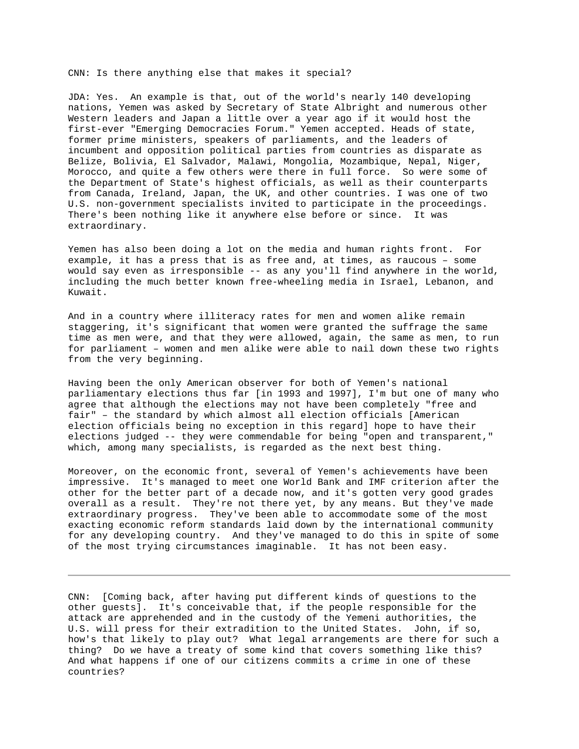CNN: Is there anything else that makes it special?

JDA: Yes. An example is that, out of the world's nearly 140 developing nations, Yemen was asked by Secretary of State Albright and numerous other Western leaders and Japan a little over a year ago if it would host the first-ever "Emerging Democracies Forum." Yemen accepted. Heads of state, former prime ministers, speakers of parliaments, and the leaders of incumbent and opposition political parties from countries as disparate as Belize, Bolivia, El Salvador, Malawi, Mongolia, Mozambique, Nepal, Niger, Morocco, and quite a few others were there in full force. So were some of the Department of State's highest officials, as well as their counterparts from Canada, Ireland, Japan, the UK, and other countries. I was one of two U.S. non-government specialists invited to participate in the proceedings. There's been nothing like it anywhere else before or since. It was extraordinary.

Yemen has also been doing a lot on the media and human rights front. For example, it has a press that is as free and, at times, as raucous – some would say even as irresponsible -- as any you'll find anywhere in the world, including the much better known free-wheeling media in Israel, Lebanon, and Kuwait.

And in a country where illiteracy rates for men and women alike remain staggering, it's significant that women were granted the suffrage the same time as men were, and that they were allowed, again, the same as men, to run for parliament – women and men alike were able to nail down these two rights from the very beginning.

Having been the only American observer for both of Yemen's national parliamentary elections thus far [in 1993 and 1997], I'm but one of many who agree that although the elections may not have been completely "free and fair" – the standard by which almost all election officials [American election officials being no exception in this regard] hope to have their elections judged -- they were commendable for being "open and transparent," which, among many specialists, is regarded as the next best thing.

Moreover, on the economic front, several of Yemen's achievements have been impressive. It's managed to meet one World Bank and IMF criterion after the other for the better part of a decade now, and it's gotten very good grades overall as a result. They're not there yet, by any means. But they've made extraordinary progress. They've been able to accommodate some of the most exacting economic reform standards laid down by the international community for any developing country. And they've managed to do this in spite of some of the most trying circumstances imaginable. It has not been easy.

CNN: [Coming back, after having put different kinds of questions to the other guests]. It's conceivable that, if the people responsible for the attack are apprehended and in the custody of the Yemeni authorities, the U.S. will press for their extradition to the United States. John, if so, how's that likely to play out? What legal arrangements are there for such a thing? Do we have a treaty of some kind that covers something like this? And what happens if one of our citizens commits a crime in one of these countries?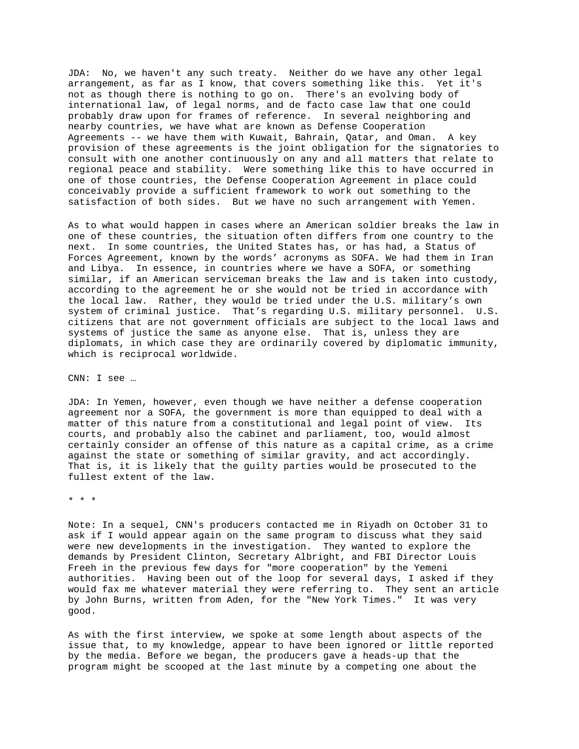JDA: No, we haven't any such treaty. Neither do we have any other legal arrangement, as far as I know, that covers something like this. Yet it's not as though there is nothing to go on. There's an evolving body of international law, of legal norms, and de facto case law that one could probably draw upon for frames of reference. In several neighboring and nearby countries, we have what are known as Defense Cooperation Agreements -- we have them with Kuwait, Bahrain, Qatar, and Oman. A key provision of these agreements is the joint obligation for the signatories to consult with one another continuously on any and all matters that relate to regional peace and stability. Were something like this to have occurred in one of those countries, the Defense Cooperation Agreement in place could conceivably provide a sufficient framework to work out something to the satisfaction of both sides. But we have no such arrangement with Yemen.

As to what would happen in cases where an American soldier breaks the law in one of these countries, the situation often differs from one country to the next. In some countries, the United States has, or has had, a Status of Forces Agreement, known by the words' acronyms as SOFA. We had them in Iran and Libya. In essence, in countries where we have a SOFA, or something similar, if an American serviceman breaks the law and is taken into custody, according to the agreement he or she would not be tried in accordance with the local law. Rather, they would be tried under the U.S. military's own system of criminal justice. That's regarding U.S. military personnel. U.S. citizens that are not government officials are subject to the local laws and systems of justice the same as anyone else. That is, unless they are diplomats, in which case they are ordinarily covered by diplomatic immunity, which is reciprocal worldwide.

CNN: I see …

JDA: In Yemen, however, even though we have neither a defense cooperation agreement nor a SOFA, the government is more than equipped to deal with a matter of this nature from a constitutional and legal point of view. Its courts, and probably also the cabinet and parliament, too, would almost certainly consider an offense of this nature as a capital crime, as a crime against the state or something of similar gravity, and act accordingly. That is, it is likely that the guilty parties would be prosecuted to the fullest extent of the law.

\* \* \*

Note: In a sequel, CNN's producers contacted me in Riyadh on October 31 to ask if I would appear again on the same program to discuss what they said were new developments in the investigation. They wanted to explore the demands by President Clinton, Secretary Albright, and FBI Director Louis Freeh in the previous few days for "more cooperation" by the Yemeni authorities. Having been out of the loop for several days, I asked if they would fax me whatever material they were referring to. They sent an article by John Burns, written from Aden, for the "New York Times." It was very good.

As with the first interview, we spoke at some length about aspects of the issue that, to my knowledge, appear to have been ignored or little reported by the media. Before we began, the producers gave a heads-up that the program might be scooped at the last minute by a competing one about the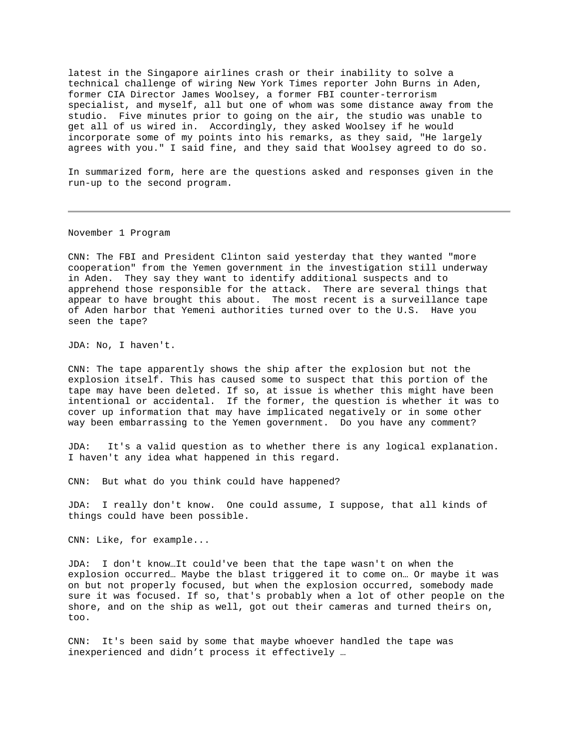latest in the Singapore airlines crash or their inability to solve a technical challenge of wiring New York Times reporter John Burns in Aden, former CIA Director James Woolsey, a former FBI counter-terrorism specialist, and myself, all but one of whom was some distance away from the studio. Five minutes prior to going on the air, the studio was unable to get all of us wired in. Accordingly, they asked Woolsey if he would incorporate some of my points into his remarks, as they said, "He largely agrees with you." I said fine, and they said that Woolsey agreed to do so.

In summarized form, here are the questions asked and responses given in the run-up to the second program.

November 1 Program

CNN: The FBI and President Clinton said yesterday that they wanted "more cooperation" from the Yemen government in the investigation still underway in Aden. They say they want to identify additional suspects and to apprehend those responsible for the attack. There are several things that appear to have brought this about. The most recent is a surveillance tape of Aden harbor that Yemeni authorities turned over to the U.S. Have you seen the tape?

JDA: No, I haven't.

CNN: The tape apparently shows the ship after the explosion but not the explosion itself. This has caused some to suspect that this portion of the tape may have been deleted. If so, at issue is whether this might have been intentional or accidental. If the former, the question is whether it was to cover up information that may have implicated negatively or in some other way been embarrassing to the Yemen government. Do you have any comment?

JDA: It's a valid question as to whether there is any logical explanation. I haven't any idea what happened in this regard.

CNN: But what do you think could have happened?

JDA: I really don't know. One could assume, I suppose, that all kinds of things could have been possible.

CNN: Like, for example...

JDA: I don't know…It could've been that the tape wasn't on when the explosion occurred… Maybe the blast triggered it to come on… Or maybe it was on but not properly focused, but when the explosion occurred, somebody made sure it was focused. If so, that's probably when a lot of other people on the shore, and on the ship as well, got out their cameras and turned theirs on, too.

CNN: It's been said by some that maybe whoever handled the tape was inexperienced and didn't process it effectively …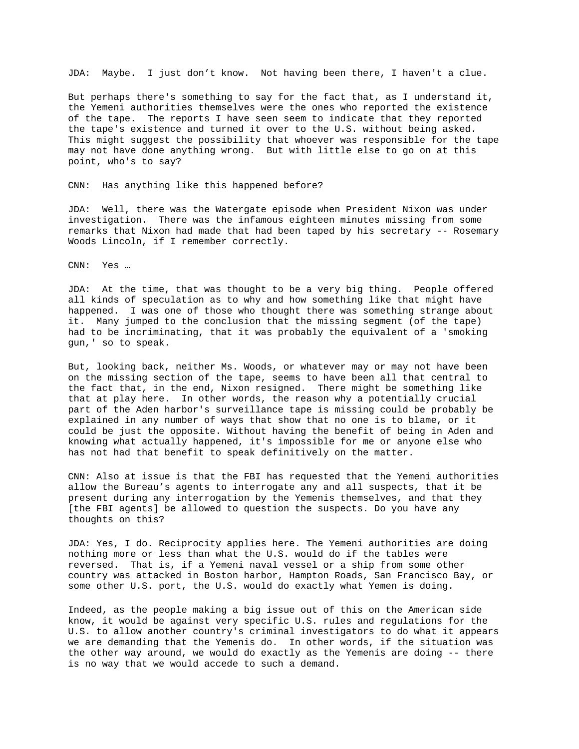JDA: Maybe. I just don't know. Not having been there, I haven't a clue.

But perhaps there's something to say for the fact that, as I understand it, the Yemeni authorities themselves were the ones who reported the existence of the tape. The reports I have seen seem to indicate that they reported the tape's existence and turned it over to the U.S. without being asked. This might suggest the possibility that whoever was responsible for the tape may not have done anything wrong. But with little else to go on at this point, who's to say?

CNN: Has anything like this happened before?

JDA: Well, there was the Watergate episode when President Nixon was under investigation. There was the infamous eighteen minutes missing from some remarks that Nixon had made that had been taped by his secretary -- Rosemary Woods Lincoln, if I remember correctly.

CNN: Yes …

JDA: At the time, that was thought to be a very big thing. People offered all kinds of speculation as to why and how something like that might have happened. I was one of those who thought there was something strange about it. Many jumped to the conclusion that the missing segment (of the tape) had to be incriminating, that it was probably the equivalent of a 'smoking gun,' so to speak.

But, looking back, neither Ms. Woods, or whatever may or may not have been on the missing section of the tape, seems to have been all that central to the fact that, in the end, Nixon resigned. There might be something like that at play here. In other words, the reason why a potentially crucial part of the Aden harbor's surveillance tape is missing could be probably be explained in any number of ways that show that no one is to blame, or it could be just the opposite. Without having the benefit of being in Aden and knowing what actually happened, it's impossible for me or anyone else who has not had that benefit to speak definitively on the matter.

CNN: Also at issue is that the FBI has requested that the Yemeni authorities allow the Bureau's agents to interrogate any and all suspects, that it be present during any interrogation by the Yemenis themselves, and that they [the FBI agents] be allowed to question the suspects. Do you have any thoughts on this?

JDA: Yes, I do. Reciprocity applies here. The Yemeni authorities are doing nothing more or less than what the U.S. would do if the tables were reversed. That is, if a Yemeni naval vessel or a ship from some other country was attacked in Boston harbor, Hampton Roads, San Francisco Bay, or some other U.S. port, the U.S. would do exactly what Yemen is doing.

Indeed, as the people making a big issue out of this on the American side know, it would be against very specific U.S. rules and regulations for the U.S. to allow another country's criminal investigators to do what it appears we are demanding that the Yemenis do. In other words, if the situation was the other way around, we would do exactly as the Yemenis are doing -- there is no way that we would accede to such a demand.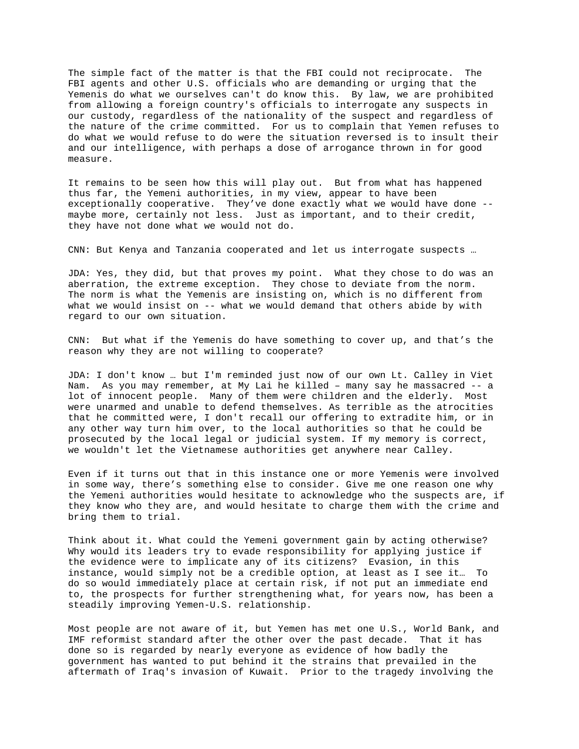The simple fact of the matter is that the FBI could not reciprocate. The FBI agents and other U.S. officials who are demanding or urging that the Yemenis do what we ourselves can't do know this. By law, we are prohibited from allowing a foreign country's officials to interrogate any suspects in our custody, regardless of the nationality of the suspect and regardless of the nature of the crime committed. For us to complain that Yemen refuses to do what we would refuse to do were the situation reversed is to insult their and our intelligence, with perhaps a dose of arrogance thrown in for good measure.

It remains to be seen how this will play out. But from what has happened thus far, the Yemeni authorities, in my view, appear to have been exceptionally cooperative. They've done exactly what we would have done - maybe more, certainly not less. Just as important, and to their credit, they have not done what we would not do.

CNN: But Kenya and Tanzania cooperated and let us interrogate suspects …

JDA: Yes, they did, but that proves my point. What they chose to do was an aberration, the extreme exception. They chose to deviate from the norm. The norm is what the Yemenis are insisting on, which is no different from what we would insist on -- what we would demand that others abide by with regard to our own situation.

CNN: But what if the Yemenis do have something to cover up, and that's the reason why they are not willing to cooperate?

JDA: I don't know … but I'm reminded just now of our own Lt. Calley in Viet Nam. As you may remember, at My Lai he killed – many say he massacred -- a lot of innocent people. Many of them were children and the elderly. Most were unarmed and unable to defend themselves. As terrible as the atrocities that he committed were, I don't recall our offering to extradite him, or in any other way turn him over, to the local authorities so that he could be prosecuted by the local legal or judicial system. If my memory is correct, we wouldn't let the Vietnamese authorities get anywhere near Calley.

Even if it turns out that in this instance one or more Yemenis were involved in some way, there's something else to consider. Give me one reason one why the Yemeni authorities would hesitate to acknowledge who the suspects are, if they know who they are, and would hesitate to charge them with the crime and bring them to trial.

Think about it. What could the Yemeni government gain by acting otherwise? Why would its leaders try to evade responsibility for applying justice if the evidence were to implicate any of its citizens? Evasion, in this instance, would simply not be a credible option, at least as I see it… To do so would immediately place at certain risk, if not put an immediate end to, the prospects for further strengthening what, for years now, has been a steadily improving Yemen-U.S. relationship.

Most people are not aware of it, but Yemen has met one U.S., World Bank, and IMF reformist standard after the other over the past decade. That it has done so is regarded by nearly everyone as evidence of how badly the government has wanted to put behind it the strains that prevailed in the aftermath of Iraq's invasion of Kuwait. Prior to the tragedy involving the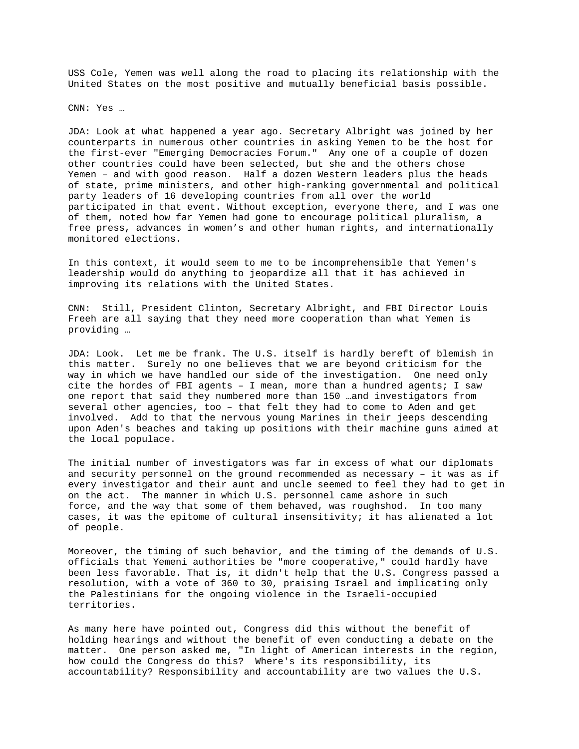USS Cole, Yemen was well along the road to placing its relationship with the United States on the most positive and mutually beneficial basis possible.

CNN: Yes …

JDA: Look at what happened a year ago. Secretary Albright was joined by her counterparts in numerous other countries in asking Yemen to be the host for the first-ever "Emerging Democracies Forum." Any one of a couple of dozen other countries could have been selected, but she and the others chose Yemen – and with good reason. Half a dozen Western leaders plus the heads of state, prime ministers, and other high-ranking governmental and political party leaders of 16 developing countries from all over the world participated in that event. Without exception, everyone there, and I was one of them, noted how far Yemen had gone to encourage political pluralism, a free press, advances in women's and other human rights, and internationally monitored elections.

In this context, it would seem to me to be incomprehensible that Yemen's leadership would do anything to jeopardize all that it has achieved in improving its relations with the United States.

CNN: Still, President Clinton, Secretary Albright, and FBI Director Louis Freeh are all saying that they need more cooperation than what Yemen is providing …

JDA: Look. Let me be frank. The U.S. itself is hardly bereft of blemish in this matter. Surely no one believes that we are beyond criticism for the way in which we have handled our side of the investigation. One need only cite the hordes of FBI agents – I mean, more than a hundred agents; I saw one report that said they numbered more than 150 …and investigators from several other agencies, too – that felt they had to come to Aden and get involved. Add to that the nervous young Marines in their jeeps descending upon Aden's beaches and taking up positions with their machine guns aimed at the local populace.

The initial number of investigators was far in excess of what our diplomats and security personnel on the ground recommended as necessary – it was as if every investigator and their aunt and uncle seemed to feel they had to get in on the act. The manner in which U.S. personnel came ashore in such force, and the way that some of them behaved, was roughshod. In too many cases, it was the epitome of cultural insensitivity; it has alienated a lot of people.

Moreover, the timing of such behavior, and the timing of the demands of U.S. officials that Yemeni authorities be "more cooperative," could hardly have been less favorable. That is, it didn't help that the U.S. Congress passed a resolution, with a vote of 360 to 30, praising Israel and implicating only the Palestinians for the ongoing violence in the Israeli-occupied territories.

As many here have pointed out, Congress did this without the benefit of holding hearings and without the benefit of even conducting a debate on the matter. One person asked me, "In light of American interests in the region, how could the Congress do this? Where's its responsibility, its accountability? Responsibility and accountability are two values the U.S.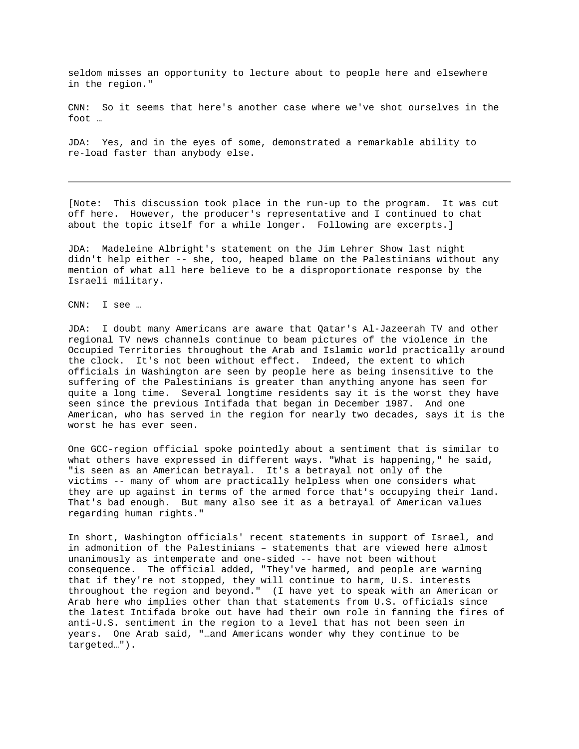seldom misses an opportunity to lecture about to people here and elsewhere in the region."

CNN: So it seems that here's another case where we've shot ourselves in the foot …

JDA: Yes, and in the eyes of some, demonstrated a remarkable ability to re-load faster than anybody else.

[Note: This discussion took place in the run-up to the program. It was cut off here. However, the producer's representative and I continued to chat about the topic itself for a while longer. Following are excerpts.]

JDA: Madeleine Albright's statement on the Jim Lehrer Show last night didn't help either -- she, too, heaped blame on the Palestinians without any mention of what all here believe to be a disproportionate response by the Israeli military.

CNN: I see …

JDA: I doubt many Americans are aware that Qatar's Al-Jazeerah TV and other regional TV news channels continue to beam pictures of the violence in the Occupied Territories throughout the Arab and Islamic world practically around the clock. It's not been without effect. Indeed, the extent to which officials in Washington are seen by people here as being insensitive to the suffering of the Palestinians is greater than anything anyone has seen for quite a long time. Several longtime residents say it is the worst they have seen since the previous Intifada that began in December 1987. And one American, who has served in the region for nearly two decades, says it is the worst he has ever seen.

One GCC-region official spoke pointedly about a sentiment that is similar to what others have expressed in different ways. "What is happening," he said, "is seen as an American betrayal. It's a betrayal not only of the victims -- many of whom are practically helpless when one considers what they are up against in terms of the armed force that's occupying their land. That's bad enough. But many also see it as a betrayal of American values regarding human rights."

In short, Washington officials' recent statements in support of Israel, and in admonition of the Palestinians – statements that are viewed here almost unanimously as intemperate and one-sided -- have not been without consequence. The official added, "They've harmed, and people are warning that if they're not stopped, they will continue to harm, U.S. interests throughout the region and beyond." (I have yet to speak with an American or Arab here who implies other than that statements from U.S. officials since the latest Intifada broke out have had their own role in fanning the fires of anti-U.S. sentiment in the region to a level that has not been seen in years. One Arab said, "…and Americans wonder why they continue to be targeted…").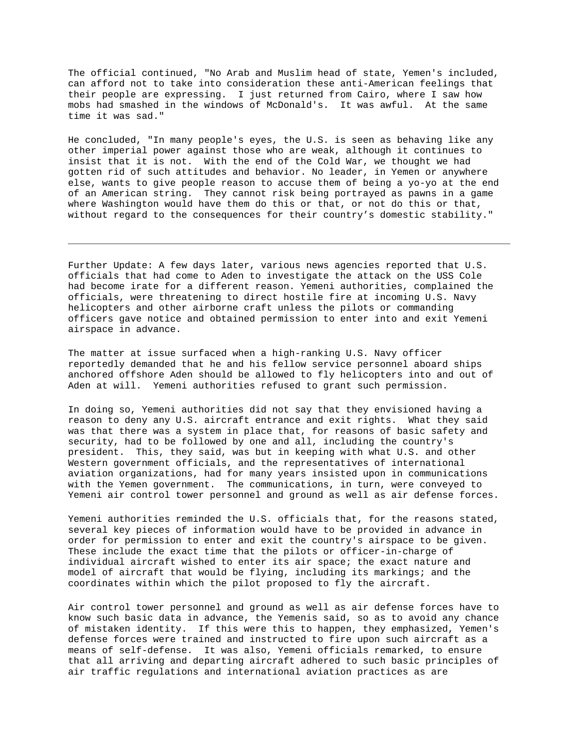The official continued, "No Arab and Muslim head of state, Yemen's included, can afford not to take into consideration these anti-American feelings that their people are expressing. I just returned from Cairo, where I saw how mobs had smashed in the windows of McDonald's. It was awful. At the same time it was sad."

He concluded, "In many people's eyes, the U.S. is seen as behaving like any other imperial power against those who are weak, although it continues to insist that it is not. With the end of the Cold War, we thought we had gotten rid of such attitudes and behavior. No leader, in Yemen or anywhere else, wants to give people reason to accuse them of being a yo-yo at the end of an American string. They cannot risk being portrayed as pawns in a game where Washington would have them do this or that, or not do this or that, without regard to the consequences for their country's domestic stability."

Further Update: A few days later, various news agencies reported that U.S. officials that had come to Aden to investigate the attack on the USS Cole had become irate for a different reason. Yemeni authorities, complained the officials, were threatening to direct hostile fire at incoming U.S. Navy helicopters and other airborne craft unless the pilots or commanding officers gave notice and obtained permission to enter into and exit Yemeni airspace in advance.

The matter at issue surfaced when a high-ranking U.S. Navy officer reportedly demanded that he and his fellow service personnel aboard ships anchored offshore Aden should be allowed to fly helicopters into and out of Aden at will. Yemeni authorities refused to grant such permission.

In doing so, Yemeni authorities did not say that they envisioned having a reason to deny any U.S. aircraft entrance and exit rights. What they said was that there was a system in place that, for reasons of basic safety and security, had to be followed by one and all, including the country's president. This, they said, was but in keeping with what U.S. and other Western government officials, and the representatives of international aviation organizations, had for many years insisted upon in communications with the Yemen government. The communications, in turn, were conveyed to Yemeni air control tower personnel and ground as well as air defense forces.

Yemeni authorities reminded the U.S. officials that, for the reasons stated, several key pieces of information would have to be provided in advance in order for permission to enter and exit the country's airspace to be given. These include the exact time that the pilots or officer-in-charge of individual aircraft wished to enter its air space; the exact nature and model of aircraft that would be flying, including its markings; and the coordinates within which the pilot proposed to fly the aircraft.

Air control tower personnel and ground as well as air defense forces have to know such basic data in advance, the Yemenis said, so as to avoid any chance of mistaken identity. If this were this to happen, they emphasized, Yemen's defense forces were trained and instructed to fire upon such aircraft as a means of self-defense. It was also, Yemeni officials remarked, to ensure that all arriving and departing aircraft adhered to such basic principles of air traffic regulations and international aviation practices as are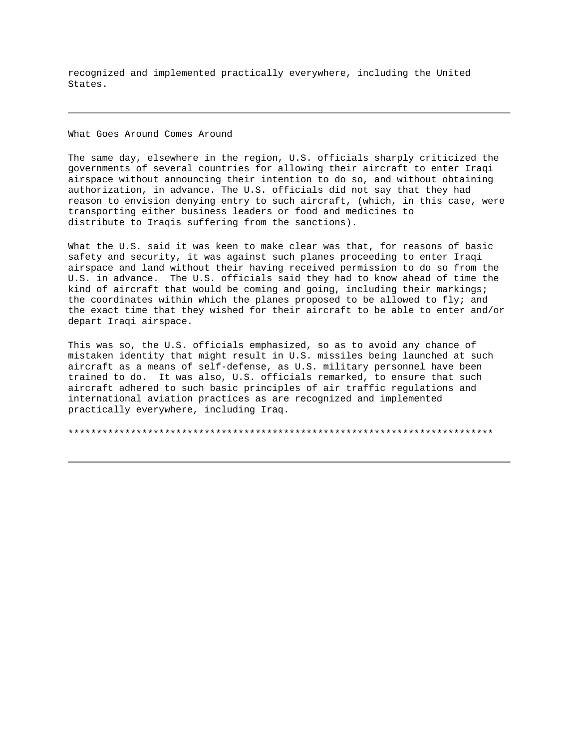recognized and implemented practically everywhere, including the United States.

What Goes Around Comes Around

The same day, elsewhere in the region, U.S. officials sharply criticized the governments of several countries for allowing their aircraft to enter Iraqi airspace without announcing their intention to do so, and without obtaining authorization, in advance. The U.S. officials did not say that they had reason to envision denying entry to such aircraft, (which, in this case, were transporting either business leaders or food and medicines to distribute to Iraqis suffering from the sanctions).

What the U.S. said it was keen to make clear was that, for reasons of basic safety and security, it was against such planes proceeding to enter Iraqi airspace and land without their having received permission to do so from the U.S. in advance. The U.S. officials said they had to know ahead of time the kind of aircraft that would be coming and going, including their markings; the coordinates within which the planes proposed to be allowed to fly; and the exact time that they wished for their aircraft to be able to enter and/or depart Iraqi airspace.

This was so, the U.S. officials emphasized, so as to avoid any chance of mistaken identity that might result in U.S. missiles being launched at such aircraft as a means of self-defense, as U.S. military personnel have been trained to do. It was also, U.S. officials remarked, to ensure that such aircraft adhered to such basic principles of air traffic regulations and international aviation practices as are recognized and implemented practically everywhere, including Iraq.

\*\*\*\*\*\*\*\*\*\*\*\*\*\*\*\*\*\*\*\*\*\*\*\*\*\*\*\*\*\*\*\*\*\*\*\*\*\*\*\*\*\*\*\*\*\*\*\*\*\*\*\*\*\*\*\*\*\*\*\*\*\*\*\*\*\*\*\*\*\*\*\*\*\*\*